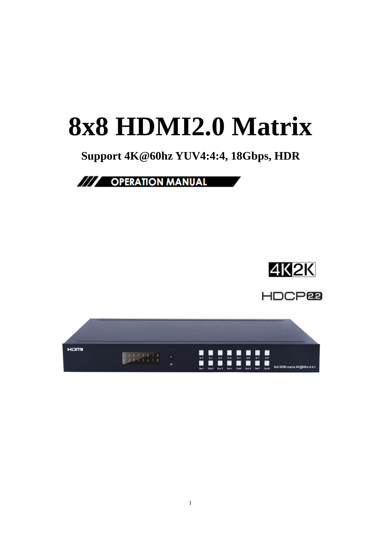# **8x8 HDMI2.0 Matrix**

# **Support 4K@60hz YUV4:4:4, 18Gbps, HDR**

# /// OPERATION MANUAL



**HDCP<sub>e</sub>** 

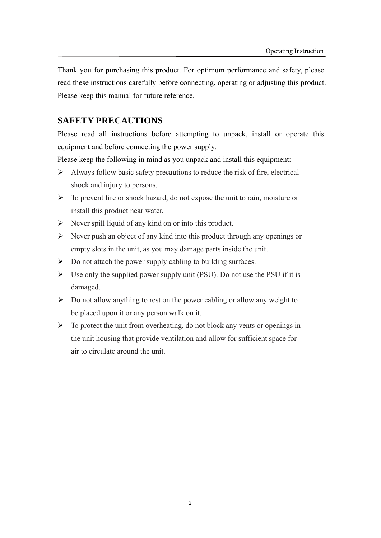Thank you for purchasing this product. For optimum performance and safety, please read these instructions carefully before connecting, operating or adjusting this product. Please keep this manual for future reference.

#### **SAFETY PRECAUTIONS**

Please read all instructions before attempting to unpack, install or operate this equipment and before connecting the power supply.

Please keep the following in mind as you unpack and install this equipment:

- $\triangleright$  Always follow basic safety precautions to reduce the risk of fire, electrical shock and injury to persons.
- $\triangleright$  To prevent fire or shock hazard, do not expose the unit to rain, moisture or install this product near water.
- $\triangleright$  Never spill liquid of any kind on or into this product.
- $\triangleright$  Never push an object of any kind into this product through any openings or empty slots in the unit, as you may damage parts inside the unit.
- $\triangleright$  Do not attach the power supply cabling to building surfaces.
- $\triangleright$  Use only the supplied power supply unit (PSU). Do not use the PSU if it is damaged.
- $\triangleright$  Do not allow anything to rest on the power cabling or allow any weight to be placed upon it or any person walk on it.
- $\triangleright$  To protect the unit from overheating, do not block any vents or openings in the unit housing that provide ventilation and allow for sufficient space for air to circulate around the unit.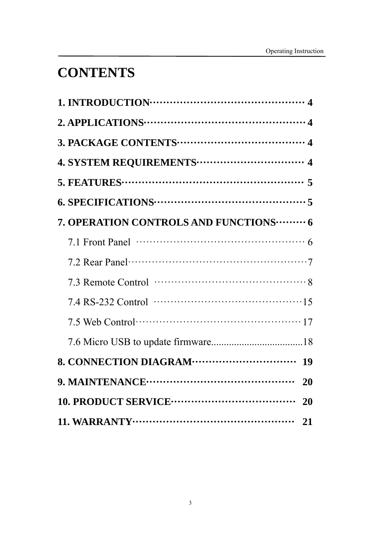# **CONTENTS**

| 7. OPERATION CONTROLS AND FUNCTIONS ········· 6                                                    |           |
|----------------------------------------------------------------------------------------------------|-----------|
| 7.1 Front Panel $\cdots$ $\cdots$ $\cdots$ $\cdots$ $\cdots$ $\cdots$ $\cdots$ $\cdots$ $\cdots$ 6 |           |
|                                                                                                    |           |
|                                                                                                    |           |
|                                                                                                    |           |
|                                                                                                    |           |
|                                                                                                    |           |
|                                                                                                    | <b>19</b> |
|                                                                                                    | 20        |
|                                                                                                    | 20        |
|                                                                                                    | 21        |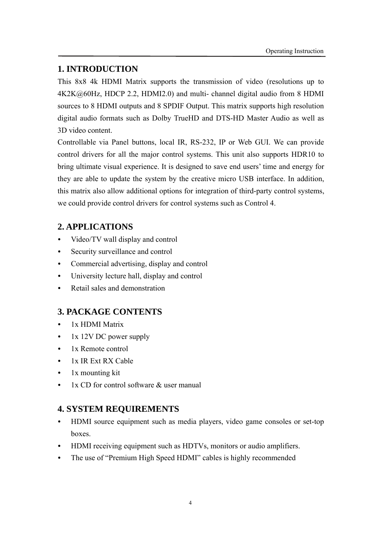# **1. INTRODUCTION**

This 8x8 4k HDMI Matrix supports the transmission of video (resolutions up to 4K2K@60Hz, HDCP 2.2, HDMI2.0) and multi- channel digital audio from 8 HDMI sources to 8 HDMI outputs and 8 SPDIF Output. This matrix supports high resolution digital audio formats such as Dolby TrueHD and DTS-HD Master Audio as well as 3D video content.

Controllable via Panel buttons, local IR, RS-232, IP or Web GUI. We can provide control drivers for all the major control systems. This unit also supports HDR10 to bring ultimate visual experience. It is designed to save end users' time and energy for they are able to update the system by the creative micro USB interface. In addition, this matrix also allow additional options for integration of third-party control systems, we could provide control drivers for control systems such as Control 4.

# **2. APPLICATIONS**

- Video/TV wall display and control
- Security surveillance and control
- Commercial advertising, display and control
- University lecture hall, display and control
- Retail sales and demonstration

# **3. PACKAGE CONTENTS**

- 1x HDMI Matrix
- 1x 12V DC power supply
- 1x Remote control
- 1x IR Ext RX Cable
- 1x mounting kit
- 1x CD for control software & user manual

# **4. SYSTEM REQUIREMENTS**

- HDMI source equipment such as media players, video game consoles or set-top boxes.
- HDMI receiving equipment such as HDTVs, monitors or audio amplifiers.
- The use of "Premium High Speed HDMI" cables is highly recommended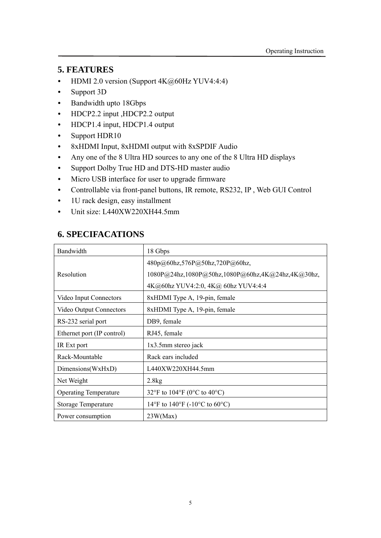## **5. FEATURES**

- HDMI 2.0 version (Support  $4K@60Hz$  YUV4:4:4)
- Support 3D
- Bandwidth upto 18Gbps
- HDCP2.2 input ,HDCP2.2 output
- HDCP1.4 input, HDCP1.4 output
- Support HDR10
- 8xHDMI Input, 8xHDMI output with 8xSPDIF Audio
- Any one of the 8 Ultra HD sources to any one of the 8 Ultra HD displays
- Support Dolby True HD and DTS-HD master audio
- Micro USB interface for user to upgrade firmware
- Controllable via front-panel buttons, IR remote, RS232, IP , Web GUI Control
- 1U rack design, easy installment
- Unit size: L440XW220XH44.5mm

# **6. SPECIFACATIONS**

| Bandwidth                      | 18 Gbps                                           |
|--------------------------------|---------------------------------------------------|
|                                | 480p@60hz,576P@50hz,720P@60hz,                    |
| Resolution                     | 1080P@24hz,1080P@50hz,1080P@60hz,4K@24hz,4K@30hz, |
|                                | 4K@60hz YUV4:2:0, 4K@ 60hz YUV4:4:4               |
| Video Input Connectors         | 8xHDMI Type A, 19-pin, female                     |
| <b>Video Output Connectors</b> | 8xHDMI Type A, 19-pin, female                     |
| RS-232 serial port             | DB9, female                                       |
| Ethernet port (IP control)     | RJ45, female                                      |
| IR Ext port                    | $1x3.5mm$ stereo jack                             |
| Rack-Mountable                 | Rack ears included                                |
| Dimensions(WxHxD)              | L440XW220XH44.5mm                                 |
| Net Weight                     | 2.8kg                                             |
| <b>Operating Temperature</b>   | 32°F to 104°F (0°C to 40°C)                       |
| <b>Storage Temperature</b>     | 14°F to 140°F (-10°C to 60°C)                     |
| Power consumption              | 23W(Max)                                          |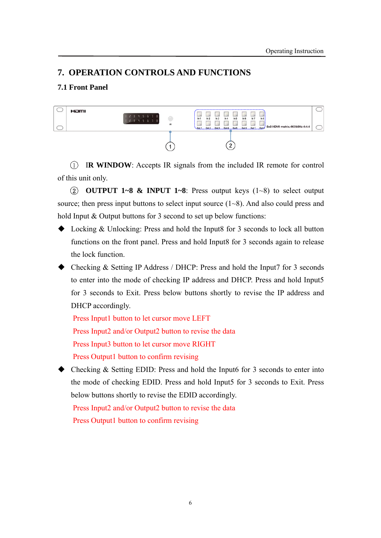## **7. OPERATION CONTROLS AND FUNCTIONS**

#### **7.1 Front Panel**



1 I**R WINDOW**: Accepts IR signals from the included IR remote for control of this unit only.

2 **OUTPUT 1~8 & INPUT 1~8**: Press output keys (1~8) to select output source; then press input buttons to select input source  $(1-8)$ . And also could press and hold Input & Output buttons for 3 second to set up below functions:

- ◆ Locking & Unlocking: Press and hold the Input8 for 3 seconds to lock all button functions on the front panel. Press and hold Input8 for 3 seconds again to release the lock function.
- Checking & Setting IP Address / DHCP: Press and hold the Input7 for 3 seconds to enter into the mode of checking IP address and DHCP. Press and hold Input5 for 3 seconds to Exit. Press below buttons shortly to revise the IP address and DHCP accordingly.

Press Input1 button to let cursor move LEFT

Press Input2 and/or Output2 button to revise the data

Press Input3 button to let cursor move RIGHT

Press Output1 button to confirm revising

◆ Checking & Setting EDID: Press and hold the Input6 for 3 seconds to enter into the mode of checking EDID. Press and hold Input5 for 3 seconds to Exit. Press below buttons shortly to revise the EDID accordingly.

Press Input2 and/or Output2 button to revise the data Press Output1 button to confirm revising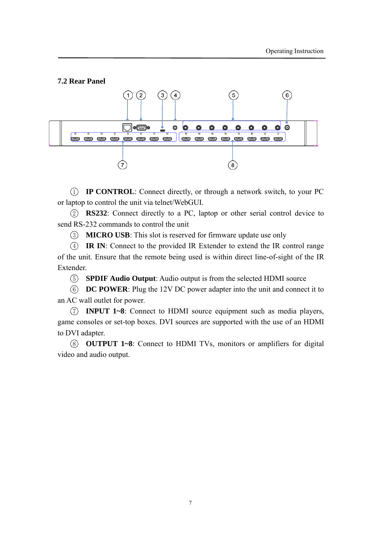#### **7.2 Rear Panel**



1 **IP CONTROL**: Connect directly, or through a network switch, to your PC or laptop to control the unit via telnet/WebGUI.

2 **RS232**: Connect directly to a PC, laptop or other serial control device to send RS-232 commands to control the unit

3 **MICRO USB**: This slot is reserved for firmware update use only

4 **IR IN**: Connect to the provided IR Extender to extend the IR control range of the unit. Ensure that the remote being used is within direct line-of-sight of the IR Extender.

5 **SPDIF Audio Output**: Audio output is from the selected HDMI source

6 **DC POWER**: Plug the 12V DC power adapter into the unit and connect it to an AC wall outlet for power.

7 **INPUT 1~8**: Connect to HDMI source equipment such as media players, game consoles or set-top boxes. DVI sources are supported with the use of an HDMI to DVI adapter.

8 **OUTPUT 1~8**: Connect to HDMI TVs, monitors or amplifiers for digital video and audio output.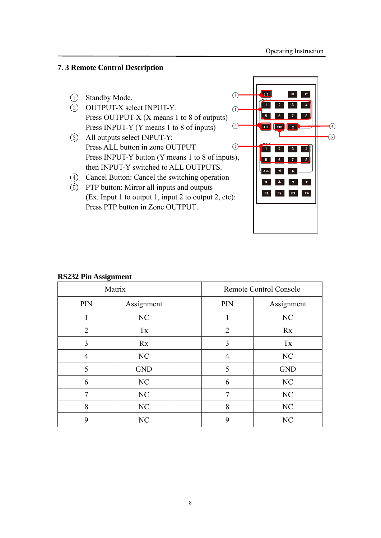#### **7. 3 Remote Control Description**



(Ex. Input 1 to output 1, input 2 to output 2, etc): Press PTP button in Zone OUTPUT.



# **RS232 Pin Assignment**

|     | Matrix     |     | <b>Remote Control Console</b> |
|-----|------------|-----|-------------------------------|
| PIN | Assignment | PIN | Assignment                    |
|     | NC         |     | NC                            |
| 2   | Tx         | 2   | Rx                            |
| 3   | Rx         | 3   | Tx                            |
| 4   | NC         | 4   | NC                            |
| 5   | <b>GND</b> | 5   | <b>GND</b>                    |
| 6   | NC         | 6   | NC                            |
|     | NC         | 7   | NC                            |
| 8   | NC         | 8   | NC                            |
| 9   | NC         | 9   | NC                            |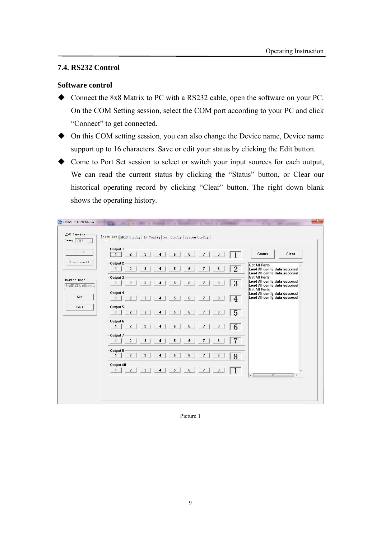#### **7.4. RS232 Control**

#### **Software control**

- ◆ Connect the 8x8 Matrix to PC with a RS232 cable, open the software on your PC. On the COM Setting session, select the COM port according to your PC and click "Connect" to get connected.
- On this COM setting session, you can also change the Device name, Device name support up to 16 characters. Save or edit your status by clicking the Edit button.
- Come to Port Set session to select or switch your input sources for each output, We can read the current status by clicking the "Status" button, or Clear our historical operating record by clicking "Clear" button. The right down blank shows the operating history.

| Port: COM7                       | [Port Set EDID Config   IP Config   Net Config   System Config                                                                               |                                                                                        |
|----------------------------------|----------------------------------------------------------------------------------------------------------------------------------------------|----------------------------------------------------------------------------------------|
| Search                           | Output 1<br>$\overline{\mathbf{3}}$<br>$\overline{2}$<br>5<br>6<br>$\overline{1}$<br>8<br>$\mathbf{1}$<br>$\overline{4}$                     | Clear<br><b>Status</b>                                                                 |
| Disconnect!                      | Output 2<br>$\overline{2}$<br>$\overline{2}$<br>3<br>5<br>6<br>$\overline{I}$<br>8<br>$\mathbf{1}$<br>4                                      | <b>Get All Ports</b><br>Load All config data success!<br>Load All config data success! |
| Device Name:<br>8*8HDMI2.0Matrix | Output 3<br>$\overline{3}$<br>$\mathbf{2}$<br>3<br>5<br>6<br>$\mathbf{1}$<br>$\overline{I}$<br>8<br>4                                        | <b>Get All Ports</b><br>Load All config data success!<br>Load All config data success! |
| Get                              | Output 4<br>$\overline{4}$<br>$\overline{2}$<br>5<br>6<br>3<br>$\overline{I}$<br>$\mathbf{1}$<br>8<br>4                                      | <b>Get All Ports</b><br>Load All config data success!<br>Load All config data success! |
| Edit                             | Output 5<br>$\overline{5}$<br>5<br>$\overline{2}$<br>3<br>$\overline{4}$<br>6<br>$\overline{I}$<br>8<br>$\mathbf{1}$                         |                                                                                        |
|                                  | Output 6<br>$\overline{6}$<br>$\overline{2}$<br>$\mathbf{1}$<br>5<br>6<br>$\overline{I}$<br>8<br>3<br>$\boldsymbol{\Lambda}$                 |                                                                                        |
|                                  | Output 7<br>7<br>$\overline{2}$<br>3<br>5<br>6<br>$\overline{I}$<br>$\mathbf{1}$<br>8<br>4                                                   |                                                                                        |
|                                  | Output 8<br>$\overline{8}$<br>$\overline{2}$<br>3<br>$\overline{I}$<br>5<br>6<br>8<br>$\mathbf{1}$<br>4                                      |                                                                                        |
|                                  | Output All<br>$\overline{1}$<br>$\overline{\mathbf{3}}$<br>5<br>$\overline{I}$<br>$\mathbf{2}$<br>6<br>8<br>$\overline{4}$<br>$\blacksquare$ | $\blacktriangleleft$<br>m.                                                             |
|                                  |                                                                                                                                              |                                                                                        |

Picture 1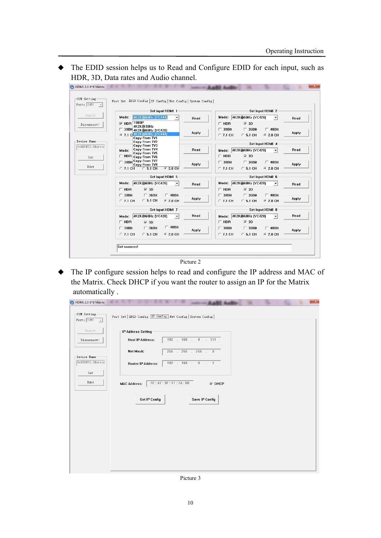The EDID session helps us to Read and Configure EDID for each input, such as HDR, 3D, Data rates and Audio channel.

|                  | Set Input HDMI 1                                                           |              | Set Input HDMI 2                                                                     |              |
|------------------|----------------------------------------------------------------------------|--------------|--------------------------------------------------------------------------------------|--------------|
| Search           | 4K2K@60Hz (YC444)<br>Mode:                                                 | Read         | Mode: 4K2K@60Hz [YC420]<br>$\blacktriangledown$                                      | Read         |
| Disconnect!      | <b>▽ HDR 1080P</b><br>4K2K@30Hz                                            |              | $\sqsubset$ HDR<br>$\overline{v}$ 3D                                                 |              |
|                  | г<br>30Bit 4K2K@60Hz (YC420)<br>@ 7.1 C 4K2K@60Hz (YC444)<br>Copy From TV1 | Apply        | $\Box$ 48Bit<br>$\Box$ 30Bit<br>$\Box$ 36Bit<br>$C$ 7.1 CH<br>$C$ 5.1 CH<br>© 2.0 CH | Apply        |
| Device Name      | Copy From TV2                                                              |              | Set Input HDMI 4                                                                     |              |
| 8*8HDMI2.0Matrix | Copy From TV3<br>Copy From TV4<br>Mode:                                    | Read         | Mode: 4K2K@60Hz (YC420)<br>$\blacktriangledown$                                      | Read         |
| Get              | Copy From TV5<br>$\Box$ HDR $_{\rm Copy}$ From TV6                         |              | $\Gamma$ HDR<br>$\overline{v}$ 3D                                                    |              |
|                  | Copy From TV7<br>30Bit<br>Copy From TV8                                    | <b>Apply</b> | $\Box$ 30Bit<br>$\Box$ 48Bit<br>$\Box$ 36Bit                                         | Apply        |
| Edit             | $C$ 5.1 CH<br>$G$ 2.0 CH<br>$C$ 7.1 CH                                     |              | $C$ 7.1 CH<br>$C$ 5.1 CH<br>© 2.0 CH                                                 |              |
|                  | Set Input HDMI 5                                                           |              | Set Input HDMI 6                                                                     |              |
|                  | 4K2K@60Hz (YC420)<br>Mode:<br>$\overline{ }$                               | Read         | Mode: 4K2K@60Hz [YC420]<br>$\overline{\phantom{a}}$                                  | Read         |
|                  | $\Gamma$ HDR<br>$\nabla$ 3D                                                |              | $\sqsubset$ HDR<br>$\overline{v}$ 3D                                                 |              |
|                  | $\Box$ 30Bit<br>$\Box$ 36Bit<br>$\Box$ 48Bit                               |              | $\Box$ 30Bit<br>$\Box$ 36Bit<br>$\Gamma$ 48Bit                                       |              |
|                  | $C$ 5.1 CH<br>$C$ 2.0 CH<br>$C$ 7.1 CH                                     | Apply        | $C$ 7.1 CH<br>$C$ 5.1 CH<br>$C$ 2.0 CH                                               | <b>Apply</b> |
|                  | Set Input HDMI 7                                                           |              | Set Input HDMI 8                                                                     |              |
|                  | 4K2K@60Hz [YC420]<br>Mode:<br>$\overline{\phantom{a}}$                     | Read         | Mode: 4K2K@60Hz [YC420]<br>$\bullet$                                                 | Read         |
|                  | $\Gamma$ HDR<br>$\overline{v}$ 3D                                          |              | $\sqsubset$ HDR<br>$\overline{v}$ 3D                                                 |              |
|                  | $\Gamma$ 48Bit<br>$\Box$ 36Bit<br>$\Box$ 30Bit                             | <b>Apply</b> | $\Box$ 30Bit<br>$\Box$ 36Bit<br>$\Box$ 48Bit                                         | Apply        |
|                  | $C$ 5.1 CH<br>© 2.0 CH<br>$C$ 7.1 CH                                       |              | $C$ 7.1 CH<br>$C$ 5.1 CH<br>© 2.0 CH                                                 |              |

Picture 2

 The IP configure session helps to read and configure the IP address and MAC of the Matrix. Check DHCP if you want the router to assign an IP for the Matrix automatically .

| Search                          | -IP Address Setting       |                                                          |  |
|---------------------------------|---------------------------|----------------------------------------------------------|--|
| Disconnect!                     | <b>Host IP Address:</b>   | $192$ $. 168$ $. 0$ $. 111$                              |  |
|                                 | Net Mask:                 | $255$ . $255$ . $255$ . 0                                |  |
| Device Name<br>8*8HDMI2.0Matrix | <b>Router IP Address:</b> | $192 \quad . \quad 168 \quad . \quad 0 \qquad . \quad 1$ |  |
| Get                             |                           |                                                          |  |
| Edit                            | <b>MAC Address:</b>       | 7C: 47: 3F: 11: 7A: BE<br>$\triangledown$ DHCP           |  |
|                                 |                           |                                                          |  |
|                                 | <b>Get IP Config</b>      | Save IP Config                                           |  |
|                                 |                           |                                                          |  |
|                                 |                           |                                                          |  |
|                                 |                           |                                                          |  |
|                                 |                           |                                                          |  |

Picture 3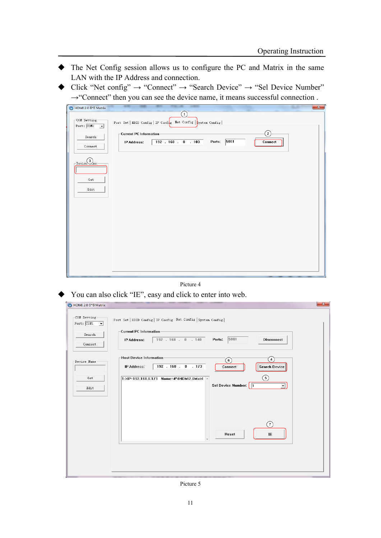- The Net Config session allows us to configure the PC and Matrix in the same LAN with the IP Address and connection.
- $\blacklozenge$  Click "Net config"  $\rightarrow$  "Connect"  $\rightarrow$  "Search Device"  $\rightarrow$  "Sel Device Number" →"Connect" then you can see the device name, it means successful connection .

| HDMI 2.0 8*8 Matrix                                                                                                                                                                                                                                                                                                                                                                         | $\mathbf{x}$ |
|---------------------------------------------------------------------------------------------------------------------------------------------------------------------------------------------------------------------------------------------------------------------------------------------------------------------------------------------------------------------------------------------|--------------|
| (1)<br>$\sim$ COM Setting-<br>Port Set   EDID Config   IP Config Net Config   System Config  <br>Port: $\boxed{\text{COM1} \quad \blacktriangleright}$<br>➁<br>Current PC Information<br>Search<br>5001<br>$192$ $168$ $0$ $103$<br>Ports:<br>IP Address:<br>Connect<br>Connect<br>$\overline{\phantom{a}}_{\text{Devic}}$ ( $\overline{\phantom{a}}_{\text{Im}e}$ )<br>${\tt Get}$<br>Edit |              |
|                                                                                                                                                                                                                                                                                                                                                                                             |              |
|                                                                                                                                                                                                                                                                                                                                                                                             |              |

#### Picture 4

◆ You can also click "IE", easy and click to enter into web.

| -COM Setting<br>Port: COM1<br>$\left  \cdot \right $ | Port Set   EDID Config   IP Config Net Config   System Config                                                                                          |
|------------------------------------------------------|--------------------------------------------------------------------------------------------------------------------------------------------------------|
| Search<br>Connect                                    | <b>Current PC Information</b><br>5001<br>Ports:<br>$192$ $. 168$ $. 0$ $. 140$<br><b>Disconnect</b><br>IP Address:                                     |
| Device Name                                          | <b>Host Device Information</b><br>$\overline{4}$<br>$\left( 6\right)$<br>$192$ $. 168$ $. 0$ $. 173$<br>IP Address:<br><b>Search Device</b><br>Connect |
| Get<br>Edit                                          | $\circledcirc$<br>1->IP=192.168.0.173 Name=4*4HDMI2.0Matri ^<br>Sel Device Number:   1<br>$\overline{\phantom{a}}$                                     |
|                                                      | (7)<br>Reset<br>IE                                                                                                                                     |
|                                                      |                                                                                                                                                        |

Picture 5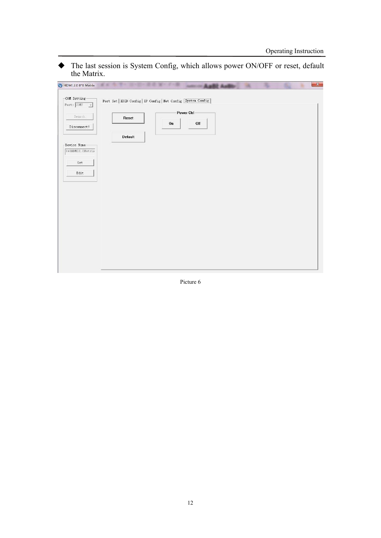The last session is System Config, which allows power ON/OFF or reset, default the Matrix.

| COM Setting-                           | Port Set   EDID Config   IP Config   Net Config   System Config |    |             |  |  |
|----------------------------------------|-----------------------------------------------------------------|----|-------------|--|--|
| Port: $\boxed{\text{COM7} \quad \neq}$ |                                                                 |    |             |  |  |
| Search                                 | Reset                                                           |    | Power Ctrl- |  |  |
| Disconnect!                            |                                                                 | On | Off         |  |  |
|                                        |                                                                 |    |             |  |  |
|                                        | <b>Default</b>                                                  |    |             |  |  |
| Device Name-                           |                                                                 |    |             |  |  |
| 8*8HDMI2.0Matrix                       |                                                                 |    |             |  |  |
| ${\tt Get}$                            |                                                                 |    |             |  |  |
| Edit                                   |                                                                 |    |             |  |  |
|                                        |                                                                 |    |             |  |  |
|                                        |                                                                 |    |             |  |  |
|                                        |                                                                 |    |             |  |  |
|                                        |                                                                 |    |             |  |  |
|                                        |                                                                 |    |             |  |  |
|                                        |                                                                 |    |             |  |  |
|                                        |                                                                 |    |             |  |  |
|                                        |                                                                 |    |             |  |  |
|                                        |                                                                 |    |             |  |  |
|                                        |                                                                 |    |             |  |  |
|                                        |                                                                 |    |             |  |  |
|                                        |                                                                 |    |             |  |  |

Picture 6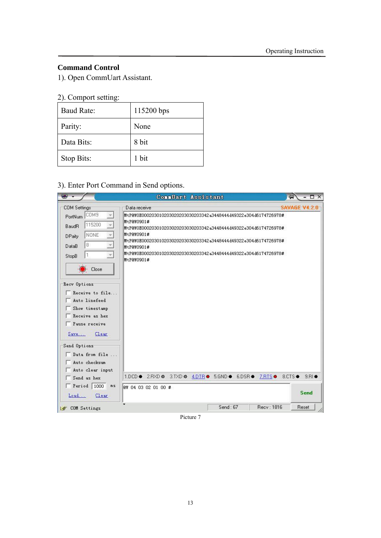#### **Command Control**

1). Open CommUart Assistant.

# 2). Comport setting:

| <b>Baud Rate:</b> | 115200 bps |
|-------------------|------------|
| Parity:           | None       |
| Data Bits:        | 8 bit      |
| Stop Bits:        | 1 bit      |

#### 3). Enter Port Command in Send options.

| ₩                               | ConnUart Assistant                                                             | $ \Box$ $\times$<br>词 |
|---------------------------------|--------------------------------------------------------------------------------|-----------------------|
| <b>COM Settings</b>             | Data receive                                                                   | SAVAGE V4.2.0         |
| PortNum COM9                    | MtP@W0E000203010203020203030203342a344844449322e304d6174726978#                |                       |
| 115200<br>Baud <sub>B</sub>     | MtP@W0901#<br>MtP@WOEOOO2O3O1O2O3O2O2O3O3O2O3342a3448444449322e3O4d6174726978# |                       |
| <b>NONE</b><br><b>DPaity</b>    | MtP@W0901#                                                                     |                       |
| 8<br>DataB                      | MtP@W0E000203010203020203030203342a3448444449322e304d6174726978#               |                       |
| $\mathbf{1}$                    | MtP@W0901#<br>MtP@WOE000203010203020203030203342a3448444449322e304d6174726978# |                       |
| StopB                           | MtP@W0901#                                                                     |                       |
| Close                           |                                                                                |                       |
|                                 |                                                                                |                       |
| Recv Options                    |                                                                                |                       |
| Receive to file                 |                                                                                |                       |
| Auto linefeed                   |                                                                                |                       |
| Show timestamp                  |                                                                                |                       |
| Receive as hex<br>Pause receive |                                                                                |                       |
|                                 |                                                                                |                       |
| Clear<br>Save                   |                                                                                |                       |
| Send Options                    |                                                                                |                       |
| $\Box$ Data from file           |                                                                                |                       |
| Auto checksum                   |                                                                                |                       |
| Auto clear input                | 1.DCD # 2.RXD # 3.TXD # 4.DTR # 5.GND # 6.DSR # 7.RTS # 8.CTS #                | $9. B1 \bullet$       |
| Send as hex                     |                                                                                |                       |
| $\sqrt{2}$ Period 1000<br>mS    | @W 04 03 02 01 00 #                                                            | Send                  |
| Load<br>Clear                   |                                                                                |                       |
|                                 |                                                                                |                       |

Picture 7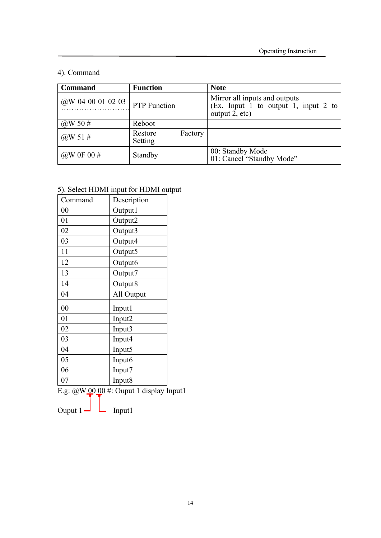#### 4). Command

| <b>Command</b>    | <b>Function</b>     |         | <b>Note</b>                                                                                          |
|-------------------|---------------------|---------|------------------------------------------------------------------------------------------------------|
| @W 04 00 01 02 03 | <b>PTP</b> Function |         | Mirror all inputs and outputs<br>(Ex. Input $\overline{1}$ to output 1, input 2 to<br>output 2, etc) |
| @W 50 #           | Reboot              |         |                                                                                                      |
| @W 51#            | Restore<br>Setting  | Factory |                                                                                                      |
| @W 0F 00 $\#$     | Standby             |         | 00: Standby Mode<br>01: Cancel "Standby Mode"                                                        |

# 5). Select HDMI input for HDMI output

| Command        | Description         |
|----------------|---------------------|
| $00\,$         | Output1             |
| 01             | Output2             |
| 02             | Output3             |
| 03             | Output4             |
| 11             | Output5             |
| 12             | Output <sub>6</sub> |
| 13             | Output7             |
| 14             | Output8             |
| 04             | All Output          |
| 0 <sub>0</sub> | Input1              |
| 01             | Input <sub>2</sub>  |
| 02             | Input3              |
| 03             | Input4              |
| 04             | Input5              |
| 05             | Input6              |
| 06             | Input7              |
| 07             | Input <sub>8</sub>  |

E.g:  $@W 00 00 #$ : Ouput 1 display Input1

Ouput  $1 - \Box$  Input1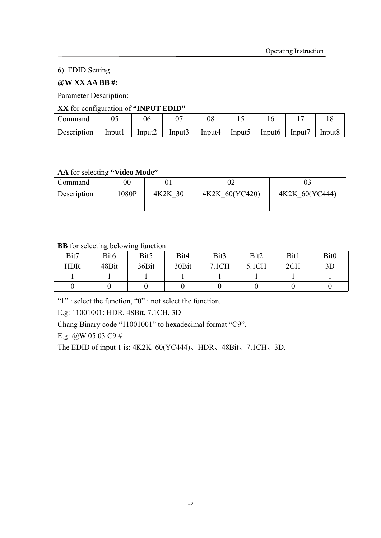6). EDID Setting

#### **@W XX AA BB #:**

Parameter Description:

#### **XX** for configuration of **"INPUT EDID"**

| Command            |         | 06                 |        | 08     |        |                    |       |        |
|--------------------|---------|--------------------|--------|--------|--------|--------------------|-------|--------|
| <b>Description</b> | Input l | Input <sub>2</sub> | Input3 | Input4 | lnput5 | Input <sub>6</sub> | lnput | Input8 |

#### **AA** for selecting **"Video Mode"**

| Command            | $00\,$ |         |                |                |
|--------------------|--------|---------|----------------|----------------|
|                    |        |         |                |                |
| <b>Description</b> | 1080P  | 4K2K 30 | 4K2K 60(YC420) | 4K2K 60(YC444) |
|                    |        |         |                |                |

#### **BB** for selecting belowing function

| Bit7       | Bit <sub>6</sub> | Bit <sub>5</sub> | Bit4  | Bit3  | Bit2  | Bit1 | Bit <sub>0</sub> |
|------------|------------------|------------------|-------|-------|-------|------|------------------|
| <b>HDR</b> | 48Bit            | 36Bit            | 30Bit | 7.1CH | 5.1CH | 2CH  | 3D               |
|            |                  |                  |       |       |       |      |                  |
|            |                  |                  |       |       |       |      |                  |

"1" : select the function, "0" : not select the function.

E.g: 11001001: HDR, 48Bit, 7.1CH, 3D

Chang Binary code "11001001" to hexadecimal format "C9".

E.g: @W 05 03 C9 #

The EDID of input 1 is: 4K2K\_60(YC444)、HDR、48Bit、7.1CH、3D.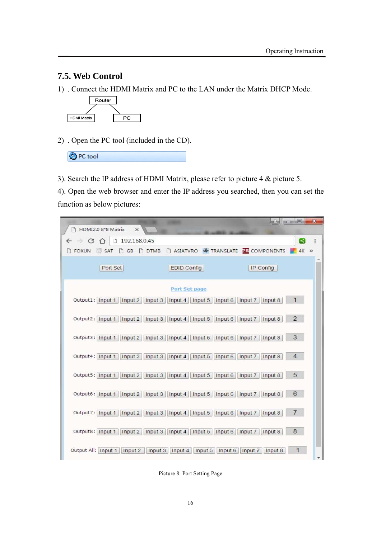#### **7.5. Web Control**

1) . Connect the HDMI Matrix and PC to the LAN under the Matrix DHCP Mode.



2) . Open the PC tool (included in the CD).

| <b>C</b> PC tool |
|------------------|
|------------------|

3). Search the IP address of HDMI Matrix, please refer to picture 4 & picture 5.

4). Open the web browser and enter the IP address you searched, then you can set the function as below pictures:

| <b>In Bay</b><br>HDMI2.0 8*8 Matrix<br>$\times$                                                        | $n \rightarrow \infty$<br>$\mathbf{x}$ |
|--------------------------------------------------------------------------------------------------------|----------------------------------------|
| $\leftarrow$ $\rightarrow$ C $\leftarrow$<br>□ 192.168.0.45                                            | ÷<br>R                                 |
| <b>DE FOXUN SAT DE B DTMB DASIATVRO &amp; TRANSLATE ER COMPONENTS</b>                                  | $4K \gg$                               |
| Port Set<br>EDID Config<br>IP Config                                                                   |                                        |
| Port Set page                                                                                          |                                        |
| Output1:   Input 1     Input 2     Input 3     Input 4     Input 5     Input 6     Input 7     Input 8 | $\mathbf{1}$                           |
| Output2: Input 1   Input 2   Input 3   Input 4   Input 5   Input 6   Input 7   Input 8                 | $\overline{2}$                         |
| Output3: Input 1   Input 2   Input 3   Input 4   Input 5   Input 6   Input 7   Input 8                 | 3                                      |
| Output4: Input 1   Input 2   Input 3   Input 4   Input 5   Input 6   Input 7   Input 8                 | $\overline{4}$                         |
| Output5:   Input 1   Input 2   Input 3   Input 4   Input 5   Input 6   Input 7  <br>Input 8            | 5                                      |
| Output6: Input 1   Input 2   Input 3   Input 4   Input 5   Input 6   Input 7  <br>Input 8              | 6                                      |
| Output7: Input 1   Input 2   Input 3   Input 4   Input 6   Input 7   Input 8                           | $\overline{7}$                         |
| Output8: Input 1   Input 2   Input 3   Input 4   Input 5   Input 6   Input 7   Input 8                 | 8                                      |
| Output All:   Input 1   Input 2     Input 3   Input 4     Input 5     Input 6     Input 7     Input 8  | ×.                                     |

Picture 8: Port Setting Page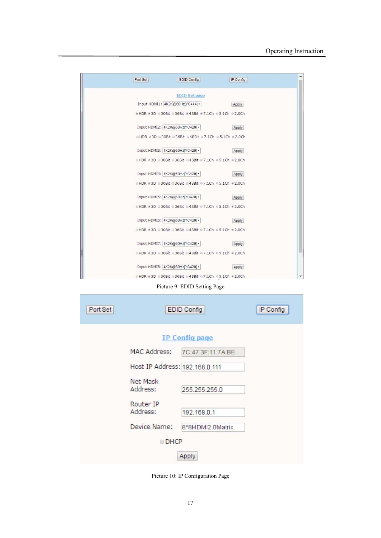| Port Set | EDID Config                                                | IP Config |  |
|----------|------------------------------------------------------------|-----------|--|
|          | <b>EDID Set page</b>                                       |           |  |
|          | Input HDMI1: 4K2K@60Hz[YC444] •                            | Apply     |  |
|          | ≥ HDR ≥ 3D = 30Bit = 36Bit ≥ 48Bit ≥ 7.1Ch ≥ 5.1Ch ≥ 2.0Ch |           |  |
|          | Input HDMI2: 4K2K@60Hz[YC420] •                            | Apply     |  |
|          | ■HDR #3D #30Bit #36Bit #48Bit @7.1Ch @5.1Ch #2.0Ch         |           |  |
|          | Input HDMI3: 4K2K@60Hz[YC420] ·                            | Apply     |  |
|          | ■HDR #3D #30Bit #36Bit #48Bit #7.1Ch #5.1Ch #2.0Ch         |           |  |
|          | Input HDMI4: 4K2K@60Hz[YC420] ·                            | Apply     |  |
|          | ■HDR #3D ■30Bit ■36Bit ■48Bit ●7.1Ch ●5.1Ch ●2.0Ch         |           |  |
|          | Input HDMI5: 4K2K@60Hz[YC420] ·                            | Apply     |  |
|          | DHDR = 3D = 30Bit = 36Bit = 48Bit = 7.1Ch = 5.1Ch = 2.0Ch  |           |  |
|          | Input HDMI6: 4K2K@60Hz[YC420] ·                            | Apply     |  |
|          | ■HDR #3D #30Bit #36Bit #48Bit #7.1Ch #5.1Ch #2.0Ch         |           |  |
|          | Input HDMI7: 4K2K@60Hz[YC420] •                            | Apply     |  |
|          | HDR = 3D = 30Bit = 36Bit = 48Bit = 7.1Ch = 5.1Ch = 2.0Ch   |           |  |
|          | Input HDMI8: 4K2K@60Hz[YC420] .                            | Apply     |  |
|          | @HDR #3D @30Bit @36Bit @48Bit @7.1Ch @5.1Ch #2.0Ch         |           |  |

Picture 9: EDID Setting Page

| Port Set |                                | EDID Config           | IP Config |
|----------|--------------------------------|-----------------------|-----------|
|          |                                | <b>IP Config page</b> |           |
|          | <b>MAC Address:</b>            | 7C:47:3F:11:7A:BE     |           |
|          | Host IP Address: 192.168.0.111 |                       |           |
|          | Net Mask<br>Address:           | 255.255.255.0         |           |
|          | Router IP<br>Address:          | 192.168.0.1           |           |
|          | Device Name:                   | 8*8HDMI2.0Matrix      |           |
|          | <b>DHCP</b>                    |                       |           |
|          |                                | Apply                 |           |

Picture 10: IP Configuration Page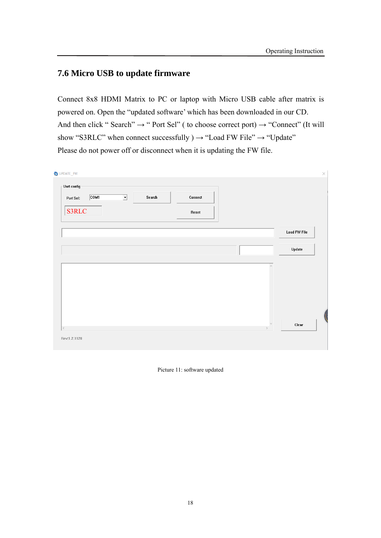#### **7.6 Micro USB to update firmware**

Connect 8x8 HDMI Matrix to PC or laptop with Micro USB cable after matrix is powered on. Open the "updated software' which has been downloaded in our CD. And then click " Search"  $\rightarrow$  " Port Sel" ( to choose correct port)  $\rightarrow$  "Connect" (It will show "S3RLC" when connect successfully  $) \rightarrow$  "Load FW File"  $\rightarrow$  "Update" Please do not power off or disconnect when it is updating the FW file.

| $\mathbf{-\mathsf{U}}$ art config-                               |        |         |                     |
|------------------------------------------------------------------|--------|---------|---------------------|
| $\overline{\text{COM1}}$<br>$\overline{\mathbf{r}}$<br>Port Sel: | Search | Connect |                     |
| <b>S3RLC</b>                                                     |        | Reset   |                     |
|                                                                  |        |         | <b>Load FW File</b> |
|                                                                  |        |         |                     |
|                                                                  |        |         | Update              |
|                                                                  |        |         |                     |
|                                                                  |        |         | $\rho_{\rm V}$      |
|                                                                  |        |         |                     |
|                                                                  |        |         |                     |
|                                                                  |        |         |                     |
|                                                                  |        |         |                     |
|                                                                  |        |         | $\forall$<br>Clear  |
|                                                                  |        |         | $\,$                |

Picture 11: software updated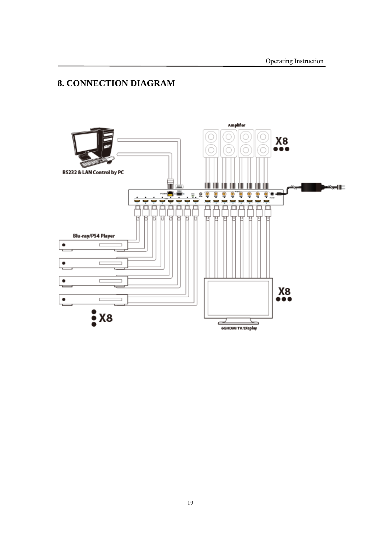# **8. CONNECTION DIAGRAM**

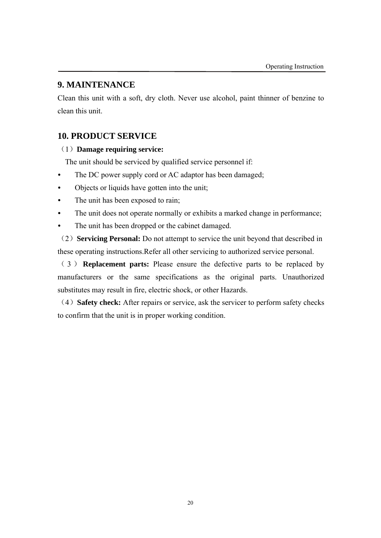#### **9. MAINTENANCE**

Clean this unit with a soft, dry cloth. Never use alcohol, paint thinner of benzine to clean this unit.

#### **10. PRODUCT SERVICE**

#### (1)**Damage requiring service:**

The unit should be serviced by qualified service personnel if:

- The DC power supply cord or AC adaptor has been damaged;
- Objects or liquids have gotten into the unit;
- The unit has been exposed to rain;
- The unit does not operate normally or exhibits a marked change in performance;
- The unit has been dropped or the cabinet damaged.

(2)**Servicing Personal:** Do not attempt to service the unit beyond that described in these operating instructions.Refer all other servicing to authorized service personal.

( 3 ) **Replacement parts:** Please ensure the defective parts to be replaced by manufacturers or the same specifications as the original parts. Unauthorized substitutes may result in fire, electric shock, or other Hazards.

(4)**Safety check:** After repairs or service, ask the servicer to perform safety checks to confirm that the unit is in proper working condition.